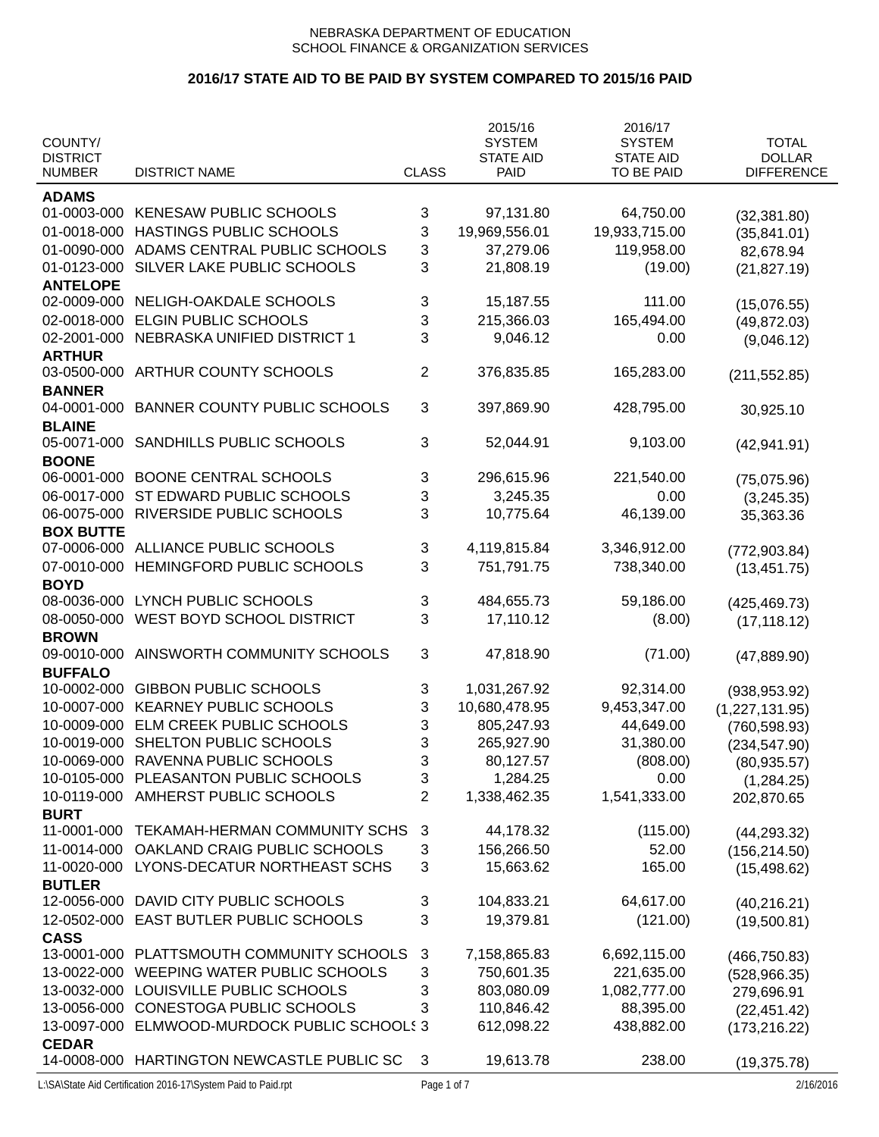|                                  |                                            |                | 2015/16                  | 2016/17                        |                                    |
|----------------------------------|--------------------------------------------|----------------|--------------------------|--------------------------------|------------------------------------|
| COUNTY/                          |                                            |                | <b>SYSTEM</b>            | <b>SYSTEM</b>                  | <b>TOTAL</b>                       |
| <b>DISTRICT</b><br><b>NUMBER</b> | <b>DISTRICT NAME</b>                       | <b>CLASS</b>   | <b>STATE AID</b><br>PAID | <b>STATE AID</b><br>TO BE PAID | <b>DOLLAR</b><br><b>DIFFERENCE</b> |
|                                  |                                            |                |                          |                                |                                    |
| <b>ADAMS</b>                     |                                            |                |                          |                                |                                    |
| 01-0003-000                      | KENESAW PUBLIC SCHOOLS                     | 3              | 97,131.80                | 64,750.00                      | (32, 381.80)                       |
| 01-0018-000                      | HASTINGS PUBLIC SCHOOLS                    | 3              | 19,969,556.01            | 19,933,715.00                  | (35,841.01)                        |
| 01-0090-000                      | ADAMS CENTRAL PUBLIC SCHOOLS               | 3              | 37,279.06                | 119,958.00                     | 82,678.94                          |
| 01-0123-000                      | SILVER LAKE PUBLIC SCHOOLS                 | 3              | 21,808.19                | (19.00)                        | (21, 827.19)                       |
| <b>ANTELOPE</b>                  |                                            |                |                          |                                |                                    |
| 02-0009-000                      | NELIGH-OAKDALE SCHOOLS                     | 3              | 15,187.55                | 111.00                         | (15,076.55)                        |
| 02-0018-000                      | <b>ELGIN PUBLIC SCHOOLS</b>                | 3              | 215,366.03               | 165,494.00                     | (49, 872.03)                       |
| 02-2001-000                      | NEBRASKA UNIFIED DISTRICT 1                | 3              | 9,046.12                 | 0.00                           | (9,046.12)                         |
| <b>ARTHUR</b>                    |                                            |                |                          |                                |                                    |
| 03-0500-000                      | ARTHUR COUNTY SCHOOLS                      | $\overline{2}$ | 376,835.85               | 165,283.00                     | (211, 552.85)                      |
| <b>BANNER</b>                    |                                            |                |                          |                                |                                    |
| 04-0001-000                      | <b>BANNER COUNTY PUBLIC SCHOOLS</b>        | 3              | 397,869.90               | 428,795.00                     | 30,925.10                          |
| <b>BLAINE</b>                    |                                            |                |                          |                                |                                    |
| 05-0071-000                      | SANDHILLS PUBLIC SCHOOLS                   | 3              | 52,044.91                | 9,103.00                       | (42, 941.91)                       |
| <b>BOONE</b>                     |                                            |                |                          |                                |                                    |
| 06-0001-000                      | <b>BOONE CENTRAL SCHOOLS</b>               | 3              | 296,615.96               | 221,540.00                     | (75,075.96)                        |
| 06-0017-000                      | ST EDWARD PUBLIC SCHOOLS                   | 3              | 3,245.35                 | 0.00                           | (3,245.35)                         |
| 06-0075-000                      | RIVERSIDE PUBLIC SCHOOLS                   | 3              | 10,775.64                | 46,139.00                      | 35,363.36                          |
| <b>BOX BUTTE</b>                 |                                            |                |                          |                                |                                    |
| 07-0006-000                      | ALLIANCE PUBLIC SCHOOLS                    | 3              | 4,119,815.84             | 3,346,912.00                   | (772, 903.84)                      |
| 07-0010-000                      | HEMINGFORD PUBLIC SCHOOLS                  | 3              | 751,791.75               | 738,340.00                     | (13, 451.75)                       |
| <b>BOYD</b>                      |                                            |                |                          |                                |                                    |
| 08-0036-000                      | LYNCH PUBLIC SCHOOLS                       | 3              | 484,655.73               | 59,186.00                      | (425, 469.73)                      |
| 08-0050-000                      | WEST BOYD SCHOOL DISTRICT                  | 3              | 17,110.12                | (8.00)                         | (17, 118.12)                       |
| <b>BROWN</b>                     |                                            |                |                          |                                |                                    |
| 09-0010-000                      | AINSWORTH COMMUNITY SCHOOLS                | 3              | 47,818.90                | (71.00)                        | (47, 889.90)                       |
| <b>BUFFALO</b>                   |                                            |                |                          |                                |                                    |
| 10-0002-000                      | <b>GIBBON PUBLIC SCHOOLS</b>               | 3              | 1,031,267.92             | 92,314.00                      | (938, 953.92)                      |
| 10-0007-000                      | <b>KEARNEY PUBLIC SCHOOLS</b>              | 3              | 10,680,478.95            | 9,453,347.00                   | (1,227,131.95)                     |
| 10-0009-000                      | ELM CREEK PUBLIC SCHOOLS                   | 3              | 805,247.93               | 44,649.00                      | (760, 598.93)                      |
| 10-0019-000                      | SHELTON PUBLIC SCHOOLS                     | 3              | 265,927.90               | 31,380.00                      | (234, 547.90)                      |
| 10-0069-000                      | RAVENNA PUBLIC SCHOOLS                     | 3              | 80,127.57                | (808.00)                       | (80, 935.57)                       |
| 10-0105-000                      | PLEASANTON PUBLIC SCHOOLS                  | 3              | 1,284.25                 | 0.00                           | (1,284.25)                         |
| 10-0119-000                      | AMHERST PUBLIC SCHOOLS                     | $\overline{2}$ | 1,338,462.35             | 1,541,333.00                   | 202,870.65                         |
| <b>BURT</b>                      |                                            |                |                          |                                |                                    |
| 11-0001-000                      | TEKAMAH-HERMAN COMMUNITY SCHS              | 3              | 44,178.32                | (115.00)                       | (44, 293.32)                       |
| 11-0014-000                      | OAKLAND CRAIG PUBLIC SCHOOLS               | 3              | 156,266.50               | 52.00                          | (156, 214.50)                      |
| 11-0020-000                      | LYONS-DECATUR NORTHEAST SCHS               | 3              | 15,663.62                | 165.00                         | (15, 498.62)                       |
| <b>BUTLER</b>                    |                                            |                |                          |                                |                                    |
| 12-0056-000                      | DAVID CITY PUBLIC SCHOOLS                  | 3              | 104,833.21               | 64,617.00                      | (40, 216.21)                       |
| 12-0502-000                      | EAST BUTLER PUBLIC SCHOOLS                 | 3              | 19,379.81                | (121.00)                       | (19,500.81)                        |
| <b>CASS</b>                      |                                            |                |                          |                                |                                    |
| 13-0001-000                      | PLATTSMOUTH COMMUNITY SCHOOLS              | 3              | 7,158,865.83             | 6,692,115.00                   | (466, 750.83)                      |
| 13-0022-000                      | WEEPING WATER PUBLIC SCHOOLS               | 3              | 750,601.35               | 221,635.00                     | (528, 966.35)                      |
| 13-0032-000                      | LOUISVILLE PUBLIC SCHOOLS                  | 3              | 803,080.09               | 1,082,777.00                   | 279,696.91                         |
| 13-0056-000                      | CONESTOGA PUBLIC SCHOOLS                   | 3              | 110,846.42               | 88,395.00                      | (22, 451.42)                       |
| 13-0097-000                      | ELMWOOD-MURDOCK PUBLIC SCHOOLS 3           |                | 612,098.22               | 438,882.00                     | (173, 216.22)                      |
| <b>CEDAR</b>                     |                                            |                |                          |                                |                                    |
|                                  | 14-0008-000 HARTINGTON NEWCASTLE PUBLIC SC | 3              | 19,613.78                | 238.00                         | (19, 375.78)                       |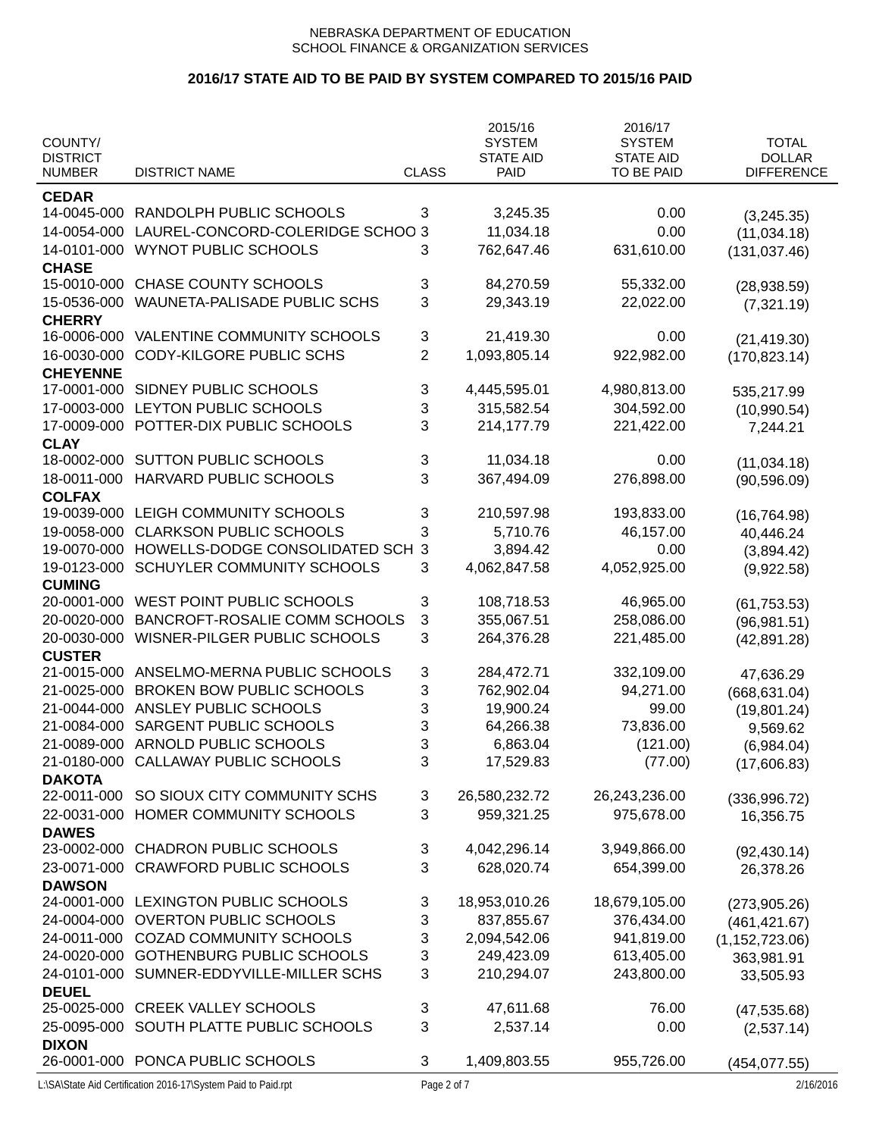| COUNTY/         |                                  |                | 2015/16                           | 2016/17                           | <b>TOTAL</b>      |
|-----------------|----------------------------------|----------------|-----------------------------------|-----------------------------------|-------------------|
| <b>DISTRICT</b> |                                  |                | <b>SYSTEM</b><br><b>STATE AID</b> | <b>SYSTEM</b><br><b>STATE AID</b> | <b>DOLLAR</b>     |
| <b>NUMBER</b>   | <b>DISTRICT NAME</b>             | <b>CLASS</b>   | PAID                              | TO BE PAID                        | <b>DIFFERENCE</b> |
| <b>CEDAR</b>    |                                  |                |                                   |                                   |                   |
| 14-0045-000     | RANDOLPH PUBLIC SCHOOLS          | 3              | 3,245.35                          | 0.00                              | (3,245.35)        |
| 14-0054-000     | LAUREL-CONCORD-COLERIDGE SCHOO 3 |                | 11,034.18                         | 0.00                              | (11,034.18)       |
| 14-0101-000     | <b>WYNOT PUBLIC SCHOOLS</b>      | 3              | 762,647.46                        | 631,610.00                        | (131, 037.46)     |
| <b>CHASE</b>    |                                  |                |                                   |                                   |                   |
| 15-0010-000     | <b>CHASE COUNTY SCHOOLS</b>      | 3              | 84,270.59                         | 55,332.00                         | (28, 938.59)      |
| 15-0536-000     | WAUNETA-PALISADE PUBLIC SCHS     | 3              | 29,343.19                         | 22,022.00                         | (7,321.19)        |
| <b>CHERRY</b>   |                                  |                |                                   |                                   |                   |
| 16-0006-000     | VALENTINE COMMUNITY SCHOOLS      | 3              | 21,419.30                         | 0.00                              | (21, 419.30)      |
| 16-0030-000     | <b>CODY-KILGORE PUBLIC SCHS</b>  | $\overline{2}$ | 1,093,805.14                      | 922,982.00                        | (170, 823.14)     |
| <b>CHEYENNE</b> |                                  |                |                                   |                                   |                   |
| 17-0001-000     | SIDNEY PUBLIC SCHOOLS            | 3              | 4,445,595.01                      | 4,980,813.00                      | 535,217.99        |
| 17-0003-000     | LEYTON PUBLIC SCHOOLS            | 3              | 315,582.54                        | 304,592.00                        | (10,990.54)       |
| 17-0009-000     | POTTER-DIX PUBLIC SCHOOLS        | 3              | 214,177.79                        | 221,422.00                        | 7,244.21          |
| <b>CLAY</b>     |                                  |                |                                   |                                   |                   |
| 18-0002-000     | <b>SUTTON PUBLIC SCHOOLS</b>     | 3              | 11,034.18                         | 0.00                              | (11, 034.18)      |
| 18-0011-000     | HARVARD PUBLIC SCHOOLS           | 3              | 367,494.09                        | 276,898.00                        | (90, 596.09)      |
| <b>COLFAX</b>   |                                  |                |                                   |                                   |                   |
| 19-0039-000     | LEIGH COMMUNITY SCHOOLS          | 3              | 210,597.98                        | 193,833.00                        | (16, 764.98)      |
| 19-0058-000     | <b>CLARKSON PUBLIC SCHOOLS</b>   | 3              | 5,710.76                          | 46,157.00                         | 40,446.24         |
| 19-0070-000     | HOWELLS-DODGE CONSOLIDATED SCH   | 3              | 3,894.42                          | 0.00                              | (3,894.42)        |
| 19-0123-000     | SCHUYLER COMMUNITY SCHOOLS       | 3              | 4,062,847.58                      | 4,052,925.00                      | (9,922.58)        |
| <b>CUMING</b>   |                                  |                |                                   |                                   |                   |
| 20-0001-000     | <b>WEST POINT PUBLIC SCHOOLS</b> | 3              | 108,718.53                        | 46,965.00                         | (61, 753.53)      |
| 20-0020-000     | BANCROFT-ROSALIE COMM SCHOOLS    | 3              | 355,067.51                        | 258,086.00                        | (96, 981.51)      |
| 20-0030-000     | WISNER-PILGER PUBLIC SCHOOLS     | 3              | 264,376.28                        | 221,485.00                        | (42, 891.28)      |
| <b>CUSTER</b>   |                                  |                |                                   |                                   |                   |
| 21-0015-000     | ANSELMO-MERNA PUBLIC SCHOOLS     | 3              | 284,472.71                        | 332,109.00                        | 47,636.29         |
| 21-0025-000     | <b>BROKEN BOW PUBLIC SCHOOLS</b> | 3              | 762,902.04                        | 94,271.00                         | (668, 631.04)     |
| 21-0044-000     | ANSLEY PUBLIC SCHOOLS            | 3              | 19,900.24                         | 99.00                             | (19,801.24)       |
| 21-0084-000     | SARGENT PUBLIC SCHOOLS           | 3              | 64,266.38                         | 73,836.00                         | 9,569.62          |
| 21-0089-000     | ARNOLD PUBLIC SCHOOLS            | 3              | 6,863.04                          | (121.00)                          | (6,984.04)        |
| 21-0180-000     | CALLAWAY PUBLIC SCHOOLS          | 3              | 17,529.83                         | (77.00)                           | (17,606.83)       |
| <b>DAKOTA</b>   |                                  |                |                                   |                                   |                   |
| 22-0011-000     | SO SIOUX CITY COMMUNITY SCHS     | 3              | 26,580,232.72                     | 26,243,236.00                     | (336, 996.72)     |
| 22-0031-000     | HOMER COMMUNITY SCHOOLS          | 3              | 959,321.25                        | 975,678.00                        | 16,356.75         |
| <b>DAWES</b>    |                                  |                |                                   |                                   |                   |
| 23-0002-000     | <b>CHADRON PUBLIC SCHOOLS</b>    | 3              | 4,042,296.14                      | 3,949,866.00                      | (92, 430.14)      |
| 23-0071-000     | <b>CRAWFORD PUBLIC SCHOOLS</b>   | 3              | 628,020.74                        | 654,399.00                        | 26,378.26         |
| <b>DAWSON</b>   |                                  |                |                                   |                                   |                   |
| 24-0001-000     | LEXINGTON PUBLIC SCHOOLS         | 3              | 18,953,010.26                     | 18,679,105.00                     | (273,905.26)      |
| 24-0004-000     | <b>OVERTON PUBLIC SCHOOLS</b>    | 3              | 837,855.67                        | 376,434.00                        | (461, 421.67)     |
| 24-0011-000     | <b>COZAD COMMUNITY SCHOOLS</b>   | 3              | 2,094,542.06                      | 941,819.00                        | (1, 152, 723.06)  |
| 24-0020-000     | <b>GOTHENBURG PUBLIC SCHOOLS</b> | 3              | 249,423.09                        | 613,405.00                        | 363,981.91        |
| 24-0101-000     | SUMNER-EDDYVILLE-MILLER SCHS     | 3              | 210,294.07                        | 243,800.00                        | 33,505.93         |
| <b>DEUEL</b>    |                                  |                |                                   |                                   |                   |
| 25-0025-000     | <b>CREEK VALLEY SCHOOLS</b>      | 3              | 47,611.68                         | 76.00                             | (47, 535.68)      |
| 25-0095-000     | SOUTH PLATTE PUBLIC SCHOOLS      | 3              | 2,537.14                          | 0.00                              | (2,537.14)        |
| <b>DIXON</b>    |                                  |                |                                   |                                   |                   |
|                 | 26-0001-000 PONCA PUBLIC SCHOOLS | 3              | 1,409,803.55                      | 955,726.00                        | (454, 077.55)     |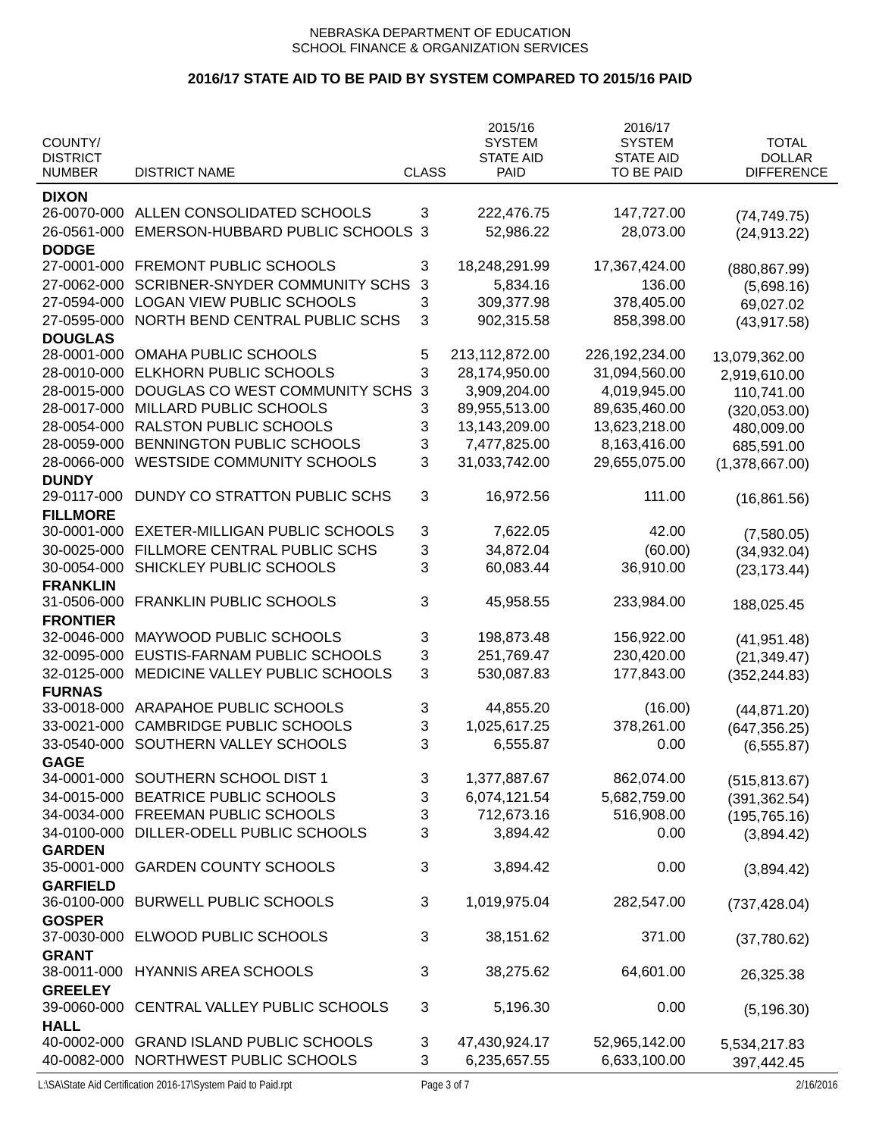# **2016/17 STATE AID TO BE PAID BY SYSTEM COMPARED TO 2015/16 PAID**

|                                  |                                       |              | 2015/16                         | 2016/17                        |                                    |
|----------------------------------|---------------------------------------|--------------|---------------------------------|--------------------------------|------------------------------------|
| COUNTY/                          |                                       |              | <b>SYSTEM</b>                   | <b>SYSTEM</b>                  | <b>TOTAL</b>                       |
| <b>DISTRICT</b><br><b>NUMBER</b> | <b>DISTRICT NAME</b>                  | <b>CLASS</b> | <b>STATE AID</b><br><b>PAID</b> | <b>STATE AID</b><br>TO BE PAID | <b>DOLLAR</b><br><b>DIFFERENCE</b> |
|                                  |                                       |              |                                 |                                |                                    |
| <b>DIXON</b>                     |                                       |              |                                 |                                |                                    |
| 26-0070-000                      | ALLEN CONSOLIDATED SCHOOLS            | 3            | 222,476.75                      | 147,727.00                     | (74, 749.75)                       |
| 26-0561-000                      | EMERSON-HUBBARD PUBLIC SCHOOLS        | 3            | 52,986.22                       | 28,073.00                      | (24, 913.22)                       |
| <b>DODGE</b><br>27-0001-000      |                                       |              |                                 |                                |                                    |
|                                  | FREMONT PUBLIC SCHOOLS                | 3            | 18,248,291.99                   | 17,367,424.00                  | (880, 867.99)                      |
| 27-0062-000                      | <b>SCRIBNER-SNYDER COMMUNITY SCHS</b> | 3            | 5,834.16                        | 136.00                         | (5,698.16)                         |
| 27-0594-000                      | <b>LOGAN VIEW PUBLIC SCHOOLS</b>      | 3            | 309,377.98                      | 378,405.00                     | 69,027.02                          |
| 27-0595-000                      | NORTH BEND CENTRAL PUBLIC SCHS        | 3            | 902,315.58                      | 858,398.00                     | (43, 917.58)                       |
| <b>DOUGLAS</b><br>28-0001-000    | <b>OMAHA PUBLIC SCHOOLS</b>           | 5            | 213,112,872.00                  |                                |                                    |
|                                  |                                       |              |                                 | 226, 192, 234.00               | 13,079,362.00                      |
| 28-0010-000                      | <b>ELKHORN PUBLIC SCHOOLS</b>         | 3            | 28,174,950.00                   | 31,094,560.00                  | 2,919,610.00                       |
| 28-0015-000                      | DOUGLAS CO WEST COMMUNITY SCHS        | 3            | 3,909,204.00                    | 4,019,945.00                   | 110,741.00                         |
| 28-0017-000                      | MILLARD PUBLIC SCHOOLS                | 3            | 89,955,513.00                   | 89,635,460.00                  | (320, 053.00)                      |
| 28-0054-000                      | <b>RALSTON PUBLIC SCHOOLS</b>         | 3            | 13,143,209.00                   | 13,623,218.00                  | 480,009.00                         |
| 28-0059-000                      | BENNINGTON PUBLIC SCHOOLS             | 3            | 7,477,825.00                    | 8,163,416.00                   | 685,591.00                         |
| 28-0066-000                      | <b>WESTSIDE COMMUNITY SCHOOLS</b>     | 3            | 31,033,742.00                   | 29,655,075.00                  | (1,378,667.00)                     |
| <b>DUNDY</b>                     | DUNDY CO STRATTON PUBLIC SCHS         |              |                                 | 111.00                         |                                    |
| 29-0117-000                      |                                       | 3            | 16,972.56                       |                                | (16, 861.56)                       |
| <b>FILLMORE</b><br>30-0001-000   | EXETER-MILLIGAN PUBLIC SCHOOLS        |              | 7,622.05                        | 42.00                          |                                    |
|                                  |                                       | 3            |                                 |                                | (7,580.05)                         |
| 30-0025-000                      | FILLMORE CENTRAL PUBLIC SCHS          | 3            | 34,872.04                       | (60.00)                        | (34, 932.04)                       |
| 30-0054-000<br><b>FRANKLIN</b>   | SHICKLEY PUBLIC SCHOOLS               | 3            | 60,083.44                       | 36,910.00                      | (23, 173.44)                       |
| 31-0506-000                      | <b>FRANKLIN PUBLIC SCHOOLS</b>        | 3            | 45,958.55                       | 233,984.00                     |                                    |
| <b>FRONTIER</b>                  |                                       |              |                                 |                                | 188,025.45                         |
| 32-0046-000                      | MAYWOOD PUBLIC SCHOOLS                | 3            | 198,873.48                      | 156,922.00                     |                                    |
| 32-0095-000                      | EUSTIS-FARNAM PUBLIC SCHOOLS          | 3            | 251,769.47                      | 230,420.00                     | (41, 951.48)                       |
| 32-0125-000                      | MEDICINE VALLEY PUBLIC SCHOOLS        | 3            | 530,087.83                      | 177,843.00                     | (21, 349.47)                       |
| <b>FURNAS</b>                    |                                       |              |                                 |                                | (352, 244.83)                      |
| 33-0018-000                      | ARAPAHOE PUBLIC SCHOOLS               | 3            | 44,855.20                       | (16.00)                        | (44, 871.20)                       |
| 33-0021-000                      | <b>CAMBRIDGE PUBLIC SCHOOLS</b>       | 3            | 1,025,617.25                    | 378,261.00                     | (647, 356.25)                      |
| 33-0540-000                      | SOUTHERN VALLEY SCHOOLS               | 3            | 6,555.87                        | 0.00                           | (6, 555.87)                        |
| <b>GAGE</b>                      |                                       |              |                                 |                                |                                    |
| 34-0001-000                      | SOUTHERN SCHOOL DIST 1                | 3            | 1,377,887.67                    | 862,074.00                     | (515, 813.67)                      |
| 34-0015-000                      | BEATRICE PUBLIC SCHOOLS               | 3            | 6,074,121.54                    | 5,682,759.00                   | (391, 362.54)                      |
| 34-0034-000                      | FREEMAN PUBLIC SCHOOLS                | 3            | 712,673.16                      | 516,908.00                     | (195, 765.16)                      |
| 34-0100-000                      | DILLER-ODELL PUBLIC SCHOOLS           | 3            | 3,894.42                        | 0.00                           | (3,894.42)                         |
| <b>GARDEN</b>                    |                                       |              |                                 |                                |                                    |
| 35-0001-000                      | <b>GARDEN COUNTY SCHOOLS</b>          | 3            | 3,894.42                        | 0.00                           | (3,894.42)                         |
| <b>GARFIELD</b>                  |                                       |              |                                 |                                |                                    |
| 36-0100-000                      | <b>BURWELL PUBLIC SCHOOLS</b>         | 3            | 1,019,975.04                    | 282,547.00                     | (737, 428.04)                      |
| <b>GOSPER</b>                    |                                       |              |                                 |                                |                                    |
| 37-0030-000                      | ELWOOD PUBLIC SCHOOLS                 | 3            | 38,151.62                       | 371.00                         | (37,780.62)                        |
| <b>GRANT</b>                     |                                       |              |                                 |                                |                                    |
| 38-0011-000                      | <b>HYANNIS AREA SCHOOLS</b>           | 3            | 38,275.62                       | 64,601.00                      | 26,325.38                          |
| <b>GREELEY</b>                   |                                       |              |                                 |                                |                                    |
| 39-0060-000                      | CENTRAL VALLEY PUBLIC SCHOOLS         | 3            | 5,196.30                        | 0.00                           | (5, 196.30)                        |
| <b>HALL</b>                      |                                       |              |                                 |                                |                                    |
| 40-0002-000                      | <b>GRAND ISLAND PUBLIC SCHOOLS</b>    | 3            | 47,430,924.17                   | 52,965,142.00                  | 5,534,217.83                       |
| 40-0082-000                      | NORTHWEST PUBLIC SCHOOLS              | 3            | 6,235,657.55                    | 6,633,100.00                   | 397,442.45                         |

L:\SA\State Aid Certification 2016-17\System Paid to Paid.rpt Page 3 of 7 2/16/2016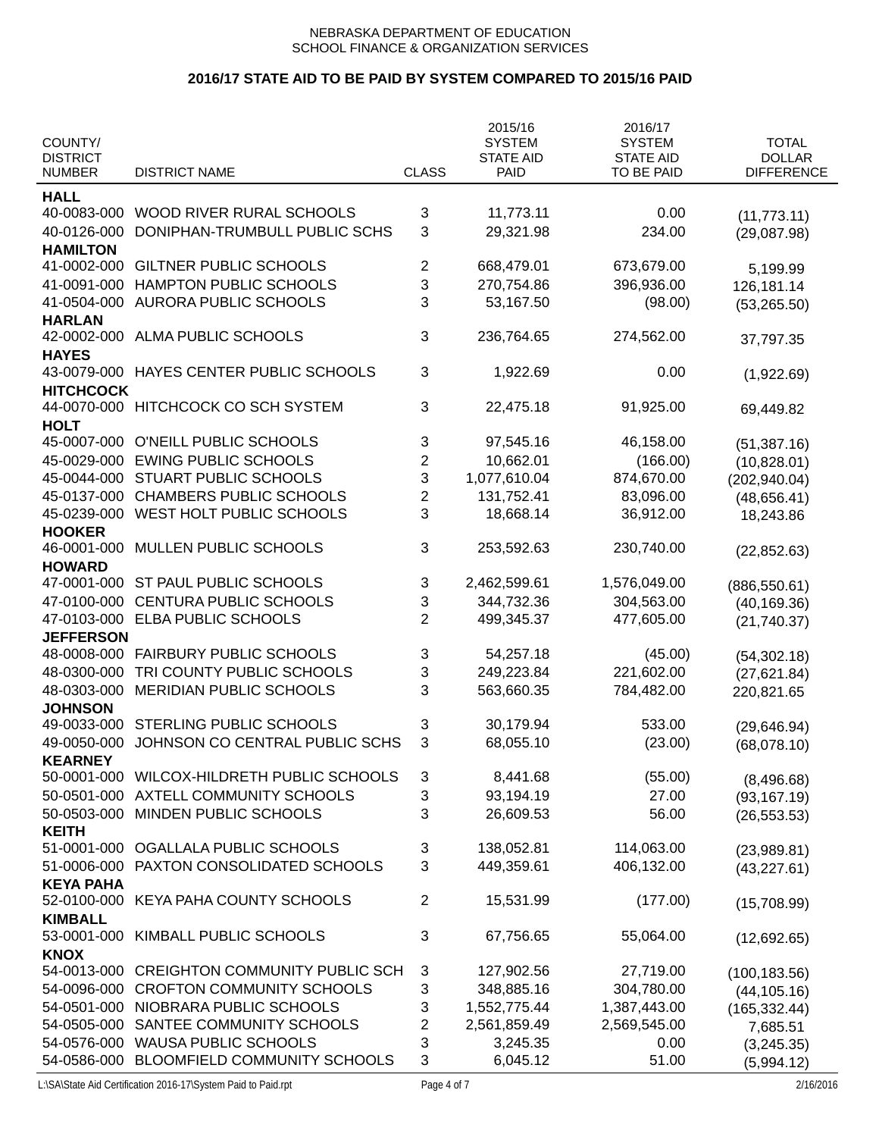| <b>TOTAL</b><br>COUNTY/<br><b>SYSTEM</b><br><b>SYSTEM</b><br><b>DOLLAR</b><br><b>DISTRICT</b><br><b>STATE AID</b><br><b>STATE AID</b><br><b>DISTRICT NAME</b><br><b>CLASS</b><br>TO BE PAID<br><b>DIFFERENCE</b><br><b>NUMBER</b><br><b>PAID</b><br><b>HALL</b><br>WOOD RIVER RURAL SCHOOLS<br>40-0083-000<br>3<br>11,773.11<br>0.00<br>(11, 773.11)<br>3<br>DONIPHAN-TRUMBULL PUBLIC SCHS<br>29,321.98<br>40-0126-000<br>234.00<br>(29,087.98)<br><b>HAMILTON</b><br><b>GILTNER PUBLIC SCHOOLS</b><br>673,679.00<br>41-0002-000<br>2<br>668,479.01<br>5,199.99<br>3<br>41-0091-000<br>HAMPTON PUBLIC SCHOOLS<br>270,754.86<br>396,936.00<br>126,181.14<br>3<br>41-0504-000<br><b>AURORA PUBLIC SCHOOLS</b><br>53,167.50<br>(98.00)<br>(53, 265.50)<br><b>HARLAN</b><br>3<br>42-0002-000<br>ALMA PUBLIC SCHOOLS<br>236,764.65<br>274,562.00<br>37,797.35<br><b>HAYES</b><br>HAYES CENTER PUBLIC SCHOOLS<br>3<br>43-0079-000<br>1,922.69<br>0.00<br>(1,922.69)<br><b>HITCHCOCK</b><br>HITCHCOCK CO SCH SYSTEM<br>3<br>44-0070-000<br>22,475.18<br>91,925.00<br>69,449.82<br><b>HOLT</b><br>45-0007-000<br>O'NEILL PUBLIC SCHOOLS<br>3<br>97,545.16<br>46,158.00<br>(51, 387.16)<br>2<br>45-0029-000<br><b>EWING PUBLIC SCHOOLS</b><br>10,662.01<br>(166.00)<br>(10,828.01)<br>3<br>45-0044-000<br>STUART PUBLIC SCHOOLS<br>1,077,610.04<br>874,670.00<br>(202, 940.04)<br>$\overline{2}$<br>45-0137-000<br><b>CHAMBERS PUBLIC SCHOOLS</b><br>131,752.41<br>83,096.00<br>(48, 656.41)<br>3<br>45-0239-000<br>WEST HOLT PUBLIC SCHOOLS<br>18,668.14<br>36,912.00<br>18,243.86<br><b>HOOKER</b><br>MULLEN PUBLIC SCHOOLS<br>253,592.63<br>46-0001-000<br>3<br>230,740.00<br>(22, 852.63)<br><b>HOWARD</b><br>ST PAUL PUBLIC SCHOOLS<br>47-0001-000<br>3<br>2,462,599.61<br>1,576,049.00<br>(886, 550.61)<br>3<br>47-0100-000<br><b>CENTURA PUBLIC SCHOOLS</b><br>344,732.36<br>304,563.00<br>(40, 169.36)<br>47-0103-000<br>ELBA PUBLIC SCHOOLS<br>2<br>499,345.37<br>477,605.00<br>(21,740.37)<br><b>JEFFERSON</b><br><b>FAIRBURY PUBLIC SCHOOLS</b><br>48-0008-000<br>3<br>54,257.18<br>(45.00)<br>(54, 302.18)<br>3<br>221,602.00<br>48-0300-000<br>TRI COUNTY PUBLIC SCHOOLS<br>249,223.84<br>(27, 621.84)<br>3<br>48-0303-000<br>MERIDIAN PUBLIC SCHOOLS<br>563,660.35<br>784,482.00<br>220,821.65<br><b>JOHNSON</b><br><b>STERLING PUBLIC SCHOOLS</b><br>3<br>533.00<br>49-0033-000<br>30,179.94<br>(29, 646.94)<br>3<br>49-0050-000<br>JOHNSON CO CENTRAL PUBLIC SCHS<br>68,055.10<br>(23.00)<br>(68,078.10)<br><b>KEARNEY</b><br>50-0001-000<br>WILCOX-HILDRETH PUBLIC SCHOOLS<br>3<br>8,441.68<br>(55.00)<br>(8,496.68)<br>3<br>50-0501-000<br>AXTELL COMMUNITY SCHOOLS<br>93,194.19<br>27.00<br>(93, 167.19)<br>3<br>50-0503-000<br>MINDEN PUBLIC SCHOOLS<br>26,609.53<br>56.00<br>(26, 553.53)<br><b>KEITH</b><br>OGALLALA PUBLIC SCHOOLS<br>51-0001-000<br>3<br>138,052.81<br>114,063.00<br>(23,989.81)<br>3<br>PAXTON CONSOLIDATED SCHOOLS<br>449,359.61<br>406,132.00<br>51-0006-000<br>(43, 227.61)<br><b>KEYA PAHA</b><br>KEYA PAHA COUNTY SCHOOLS<br>$\overline{2}$<br>52-0100-000<br>15,531.99<br>(177.00)<br>(15,708.99)<br><b>KIMBALL</b><br>KIMBALL PUBLIC SCHOOLS<br>53-0001-000<br>3<br>67,756.65<br>55,064.00<br>(12,692.65)<br><b>KNOX</b><br><b>CREIGHTON COMMUNITY PUBLIC SCH</b><br>54-0013-000<br>3<br>127,902.56<br>27,719.00<br>(100, 183.56)<br>3<br><b>CROFTON COMMUNITY SCHOOLS</b><br>348,885.16<br>304,780.00<br>54-0096-000<br>(44, 105.16)<br>NIOBRARA PUBLIC SCHOOLS<br>3<br>1,552,775.44<br>1,387,443.00<br>54-0501-000<br>(165, 332.44)<br>2<br>SANTEE COMMUNITY SCHOOLS<br>2,561,859.49<br>2,569,545.00<br>54-0505-000<br>7,685.51<br>3<br><b>WAUSA PUBLIC SCHOOLS</b><br>54-0576-000<br>3,245.35<br>0.00<br>(3,245.35)<br>3<br>BLOOMFIELD COMMUNITY SCHOOLS<br>6,045.12<br>54-0586-000<br>51.00<br>(5,994.12) |  | 2015/16 | 2016/17 |  |
|------------------------------------------------------------------------------------------------------------------------------------------------------------------------------------------------------------------------------------------------------------------------------------------------------------------------------------------------------------------------------------------------------------------------------------------------------------------------------------------------------------------------------------------------------------------------------------------------------------------------------------------------------------------------------------------------------------------------------------------------------------------------------------------------------------------------------------------------------------------------------------------------------------------------------------------------------------------------------------------------------------------------------------------------------------------------------------------------------------------------------------------------------------------------------------------------------------------------------------------------------------------------------------------------------------------------------------------------------------------------------------------------------------------------------------------------------------------------------------------------------------------------------------------------------------------------------------------------------------------------------------------------------------------------------------------------------------------------------------------------------------------------------------------------------------------------------------------------------------------------------------------------------------------------------------------------------------------------------------------------------------------------------------------------------------------------------------------------------------------------------------------------------------------------------------------------------------------------------------------------------------------------------------------------------------------------------------------------------------------------------------------------------------------------------------------------------------------------------------------------------------------------------------------------------------------------------------------------------------------------------------------------------------------------------------------------------------------------------------------------------------------------------------------------------------------------------------------------------------------------------------------------------------------------------------------------------------------------------------------------------------------------------------------------------------------------------------------------------------------------------------------------------------------------------------------------------------------------------------------------------------------------------------------------------------------------------------------------------------------------------------------------------------------------------------------------------------------------------------------------------------------------------------------------------------------------------------------------------------------------------------------------------------------------------------------------------------------------------------------------------------------------------------------------------------------------------------------------------|--|---------|---------|--|
|                                                                                                                                                                                                                                                                                                                                                                                                                                                                                                                                                                                                                                                                                                                                                                                                                                                                                                                                                                                                                                                                                                                                                                                                                                                                                                                                                                                                                                                                                                                                                                                                                                                                                                                                                                                                                                                                                                                                                                                                                                                                                                                                                                                                                                                                                                                                                                                                                                                                                                                                                                                                                                                                                                                                                                                                                                                                                                                                                                                                                                                                                                                                                                                                                                                                                                                                                                                                                                                                                                                                                                                                                                                                                                                                                                                                                                                      |  |         |         |  |
|                                                                                                                                                                                                                                                                                                                                                                                                                                                                                                                                                                                                                                                                                                                                                                                                                                                                                                                                                                                                                                                                                                                                                                                                                                                                                                                                                                                                                                                                                                                                                                                                                                                                                                                                                                                                                                                                                                                                                                                                                                                                                                                                                                                                                                                                                                                                                                                                                                                                                                                                                                                                                                                                                                                                                                                                                                                                                                                                                                                                                                                                                                                                                                                                                                                                                                                                                                                                                                                                                                                                                                                                                                                                                                                                                                                                                                                      |  |         |         |  |
|                                                                                                                                                                                                                                                                                                                                                                                                                                                                                                                                                                                                                                                                                                                                                                                                                                                                                                                                                                                                                                                                                                                                                                                                                                                                                                                                                                                                                                                                                                                                                                                                                                                                                                                                                                                                                                                                                                                                                                                                                                                                                                                                                                                                                                                                                                                                                                                                                                                                                                                                                                                                                                                                                                                                                                                                                                                                                                                                                                                                                                                                                                                                                                                                                                                                                                                                                                                                                                                                                                                                                                                                                                                                                                                                                                                                                                                      |  |         |         |  |
|                                                                                                                                                                                                                                                                                                                                                                                                                                                                                                                                                                                                                                                                                                                                                                                                                                                                                                                                                                                                                                                                                                                                                                                                                                                                                                                                                                                                                                                                                                                                                                                                                                                                                                                                                                                                                                                                                                                                                                                                                                                                                                                                                                                                                                                                                                                                                                                                                                                                                                                                                                                                                                                                                                                                                                                                                                                                                                                                                                                                                                                                                                                                                                                                                                                                                                                                                                                                                                                                                                                                                                                                                                                                                                                                                                                                                                                      |  |         |         |  |
|                                                                                                                                                                                                                                                                                                                                                                                                                                                                                                                                                                                                                                                                                                                                                                                                                                                                                                                                                                                                                                                                                                                                                                                                                                                                                                                                                                                                                                                                                                                                                                                                                                                                                                                                                                                                                                                                                                                                                                                                                                                                                                                                                                                                                                                                                                                                                                                                                                                                                                                                                                                                                                                                                                                                                                                                                                                                                                                                                                                                                                                                                                                                                                                                                                                                                                                                                                                                                                                                                                                                                                                                                                                                                                                                                                                                                                                      |  |         |         |  |
|                                                                                                                                                                                                                                                                                                                                                                                                                                                                                                                                                                                                                                                                                                                                                                                                                                                                                                                                                                                                                                                                                                                                                                                                                                                                                                                                                                                                                                                                                                                                                                                                                                                                                                                                                                                                                                                                                                                                                                                                                                                                                                                                                                                                                                                                                                                                                                                                                                                                                                                                                                                                                                                                                                                                                                                                                                                                                                                                                                                                                                                                                                                                                                                                                                                                                                                                                                                                                                                                                                                                                                                                                                                                                                                                                                                                                                                      |  |         |         |  |
|                                                                                                                                                                                                                                                                                                                                                                                                                                                                                                                                                                                                                                                                                                                                                                                                                                                                                                                                                                                                                                                                                                                                                                                                                                                                                                                                                                                                                                                                                                                                                                                                                                                                                                                                                                                                                                                                                                                                                                                                                                                                                                                                                                                                                                                                                                                                                                                                                                                                                                                                                                                                                                                                                                                                                                                                                                                                                                                                                                                                                                                                                                                                                                                                                                                                                                                                                                                                                                                                                                                                                                                                                                                                                                                                                                                                                                                      |  |         |         |  |
|                                                                                                                                                                                                                                                                                                                                                                                                                                                                                                                                                                                                                                                                                                                                                                                                                                                                                                                                                                                                                                                                                                                                                                                                                                                                                                                                                                                                                                                                                                                                                                                                                                                                                                                                                                                                                                                                                                                                                                                                                                                                                                                                                                                                                                                                                                                                                                                                                                                                                                                                                                                                                                                                                                                                                                                                                                                                                                                                                                                                                                                                                                                                                                                                                                                                                                                                                                                                                                                                                                                                                                                                                                                                                                                                                                                                                                                      |  |         |         |  |
|                                                                                                                                                                                                                                                                                                                                                                                                                                                                                                                                                                                                                                                                                                                                                                                                                                                                                                                                                                                                                                                                                                                                                                                                                                                                                                                                                                                                                                                                                                                                                                                                                                                                                                                                                                                                                                                                                                                                                                                                                                                                                                                                                                                                                                                                                                                                                                                                                                                                                                                                                                                                                                                                                                                                                                                                                                                                                                                                                                                                                                                                                                                                                                                                                                                                                                                                                                                                                                                                                                                                                                                                                                                                                                                                                                                                                                                      |  |         |         |  |
|                                                                                                                                                                                                                                                                                                                                                                                                                                                                                                                                                                                                                                                                                                                                                                                                                                                                                                                                                                                                                                                                                                                                                                                                                                                                                                                                                                                                                                                                                                                                                                                                                                                                                                                                                                                                                                                                                                                                                                                                                                                                                                                                                                                                                                                                                                                                                                                                                                                                                                                                                                                                                                                                                                                                                                                                                                                                                                                                                                                                                                                                                                                                                                                                                                                                                                                                                                                                                                                                                                                                                                                                                                                                                                                                                                                                                                                      |  |         |         |  |
|                                                                                                                                                                                                                                                                                                                                                                                                                                                                                                                                                                                                                                                                                                                                                                                                                                                                                                                                                                                                                                                                                                                                                                                                                                                                                                                                                                                                                                                                                                                                                                                                                                                                                                                                                                                                                                                                                                                                                                                                                                                                                                                                                                                                                                                                                                                                                                                                                                                                                                                                                                                                                                                                                                                                                                                                                                                                                                                                                                                                                                                                                                                                                                                                                                                                                                                                                                                                                                                                                                                                                                                                                                                                                                                                                                                                                                                      |  |         |         |  |
|                                                                                                                                                                                                                                                                                                                                                                                                                                                                                                                                                                                                                                                                                                                                                                                                                                                                                                                                                                                                                                                                                                                                                                                                                                                                                                                                                                                                                                                                                                                                                                                                                                                                                                                                                                                                                                                                                                                                                                                                                                                                                                                                                                                                                                                                                                                                                                                                                                                                                                                                                                                                                                                                                                                                                                                                                                                                                                                                                                                                                                                                                                                                                                                                                                                                                                                                                                                                                                                                                                                                                                                                                                                                                                                                                                                                                                                      |  |         |         |  |
|                                                                                                                                                                                                                                                                                                                                                                                                                                                                                                                                                                                                                                                                                                                                                                                                                                                                                                                                                                                                                                                                                                                                                                                                                                                                                                                                                                                                                                                                                                                                                                                                                                                                                                                                                                                                                                                                                                                                                                                                                                                                                                                                                                                                                                                                                                                                                                                                                                                                                                                                                                                                                                                                                                                                                                                                                                                                                                                                                                                                                                                                                                                                                                                                                                                                                                                                                                                                                                                                                                                                                                                                                                                                                                                                                                                                                                                      |  |         |         |  |
|                                                                                                                                                                                                                                                                                                                                                                                                                                                                                                                                                                                                                                                                                                                                                                                                                                                                                                                                                                                                                                                                                                                                                                                                                                                                                                                                                                                                                                                                                                                                                                                                                                                                                                                                                                                                                                                                                                                                                                                                                                                                                                                                                                                                                                                                                                                                                                                                                                                                                                                                                                                                                                                                                                                                                                                                                                                                                                                                                                                                                                                                                                                                                                                                                                                                                                                                                                                                                                                                                                                                                                                                                                                                                                                                                                                                                                                      |  |         |         |  |
|                                                                                                                                                                                                                                                                                                                                                                                                                                                                                                                                                                                                                                                                                                                                                                                                                                                                                                                                                                                                                                                                                                                                                                                                                                                                                                                                                                                                                                                                                                                                                                                                                                                                                                                                                                                                                                                                                                                                                                                                                                                                                                                                                                                                                                                                                                                                                                                                                                                                                                                                                                                                                                                                                                                                                                                                                                                                                                                                                                                                                                                                                                                                                                                                                                                                                                                                                                                                                                                                                                                                                                                                                                                                                                                                                                                                                                                      |  |         |         |  |
|                                                                                                                                                                                                                                                                                                                                                                                                                                                                                                                                                                                                                                                                                                                                                                                                                                                                                                                                                                                                                                                                                                                                                                                                                                                                                                                                                                                                                                                                                                                                                                                                                                                                                                                                                                                                                                                                                                                                                                                                                                                                                                                                                                                                                                                                                                                                                                                                                                                                                                                                                                                                                                                                                                                                                                                                                                                                                                                                                                                                                                                                                                                                                                                                                                                                                                                                                                                                                                                                                                                                                                                                                                                                                                                                                                                                                                                      |  |         |         |  |
|                                                                                                                                                                                                                                                                                                                                                                                                                                                                                                                                                                                                                                                                                                                                                                                                                                                                                                                                                                                                                                                                                                                                                                                                                                                                                                                                                                                                                                                                                                                                                                                                                                                                                                                                                                                                                                                                                                                                                                                                                                                                                                                                                                                                                                                                                                                                                                                                                                                                                                                                                                                                                                                                                                                                                                                                                                                                                                                                                                                                                                                                                                                                                                                                                                                                                                                                                                                                                                                                                                                                                                                                                                                                                                                                                                                                                                                      |  |         |         |  |
|                                                                                                                                                                                                                                                                                                                                                                                                                                                                                                                                                                                                                                                                                                                                                                                                                                                                                                                                                                                                                                                                                                                                                                                                                                                                                                                                                                                                                                                                                                                                                                                                                                                                                                                                                                                                                                                                                                                                                                                                                                                                                                                                                                                                                                                                                                                                                                                                                                                                                                                                                                                                                                                                                                                                                                                                                                                                                                                                                                                                                                                                                                                                                                                                                                                                                                                                                                                                                                                                                                                                                                                                                                                                                                                                                                                                                                                      |  |         |         |  |
|                                                                                                                                                                                                                                                                                                                                                                                                                                                                                                                                                                                                                                                                                                                                                                                                                                                                                                                                                                                                                                                                                                                                                                                                                                                                                                                                                                                                                                                                                                                                                                                                                                                                                                                                                                                                                                                                                                                                                                                                                                                                                                                                                                                                                                                                                                                                                                                                                                                                                                                                                                                                                                                                                                                                                                                                                                                                                                                                                                                                                                                                                                                                                                                                                                                                                                                                                                                                                                                                                                                                                                                                                                                                                                                                                                                                                                                      |  |         |         |  |
|                                                                                                                                                                                                                                                                                                                                                                                                                                                                                                                                                                                                                                                                                                                                                                                                                                                                                                                                                                                                                                                                                                                                                                                                                                                                                                                                                                                                                                                                                                                                                                                                                                                                                                                                                                                                                                                                                                                                                                                                                                                                                                                                                                                                                                                                                                                                                                                                                                                                                                                                                                                                                                                                                                                                                                                                                                                                                                                                                                                                                                                                                                                                                                                                                                                                                                                                                                                                                                                                                                                                                                                                                                                                                                                                                                                                                                                      |  |         |         |  |
|                                                                                                                                                                                                                                                                                                                                                                                                                                                                                                                                                                                                                                                                                                                                                                                                                                                                                                                                                                                                                                                                                                                                                                                                                                                                                                                                                                                                                                                                                                                                                                                                                                                                                                                                                                                                                                                                                                                                                                                                                                                                                                                                                                                                                                                                                                                                                                                                                                                                                                                                                                                                                                                                                                                                                                                                                                                                                                                                                                                                                                                                                                                                                                                                                                                                                                                                                                                                                                                                                                                                                                                                                                                                                                                                                                                                                                                      |  |         |         |  |
|                                                                                                                                                                                                                                                                                                                                                                                                                                                                                                                                                                                                                                                                                                                                                                                                                                                                                                                                                                                                                                                                                                                                                                                                                                                                                                                                                                                                                                                                                                                                                                                                                                                                                                                                                                                                                                                                                                                                                                                                                                                                                                                                                                                                                                                                                                                                                                                                                                                                                                                                                                                                                                                                                                                                                                                                                                                                                                                                                                                                                                                                                                                                                                                                                                                                                                                                                                                                                                                                                                                                                                                                                                                                                                                                                                                                                                                      |  |         |         |  |
|                                                                                                                                                                                                                                                                                                                                                                                                                                                                                                                                                                                                                                                                                                                                                                                                                                                                                                                                                                                                                                                                                                                                                                                                                                                                                                                                                                                                                                                                                                                                                                                                                                                                                                                                                                                                                                                                                                                                                                                                                                                                                                                                                                                                                                                                                                                                                                                                                                                                                                                                                                                                                                                                                                                                                                                                                                                                                                                                                                                                                                                                                                                                                                                                                                                                                                                                                                                                                                                                                                                                                                                                                                                                                                                                                                                                                                                      |  |         |         |  |
|                                                                                                                                                                                                                                                                                                                                                                                                                                                                                                                                                                                                                                                                                                                                                                                                                                                                                                                                                                                                                                                                                                                                                                                                                                                                                                                                                                                                                                                                                                                                                                                                                                                                                                                                                                                                                                                                                                                                                                                                                                                                                                                                                                                                                                                                                                                                                                                                                                                                                                                                                                                                                                                                                                                                                                                                                                                                                                                                                                                                                                                                                                                                                                                                                                                                                                                                                                                                                                                                                                                                                                                                                                                                                                                                                                                                                                                      |  |         |         |  |
|                                                                                                                                                                                                                                                                                                                                                                                                                                                                                                                                                                                                                                                                                                                                                                                                                                                                                                                                                                                                                                                                                                                                                                                                                                                                                                                                                                                                                                                                                                                                                                                                                                                                                                                                                                                                                                                                                                                                                                                                                                                                                                                                                                                                                                                                                                                                                                                                                                                                                                                                                                                                                                                                                                                                                                                                                                                                                                                                                                                                                                                                                                                                                                                                                                                                                                                                                                                                                                                                                                                                                                                                                                                                                                                                                                                                                                                      |  |         |         |  |
|                                                                                                                                                                                                                                                                                                                                                                                                                                                                                                                                                                                                                                                                                                                                                                                                                                                                                                                                                                                                                                                                                                                                                                                                                                                                                                                                                                                                                                                                                                                                                                                                                                                                                                                                                                                                                                                                                                                                                                                                                                                                                                                                                                                                                                                                                                                                                                                                                                                                                                                                                                                                                                                                                                                                                                                                                                                                                                                                                                                                                                                                                                                                                                                                                                                                                                                                                                                                                                                                                                                                                                                                                                                                                                                                                                                                                                                      |  |         |         |  |
|                                                                                                                                                                                                                                                                                                                                                                                                                                                                                                                                                                                                                                                                                                                                                                                                                                                                                                                                                                                                                                                                                                                                                                                                                                                                                                                                                                                                                                                                                                                                                                                                                                                                                                                                                                                                                                                                                                                                                                                                                                                                                                                                                                                                                                                                                                                                                                                                                                                                                                                                                                                                                                                                                                                                                                                                                                                                                                                                                                                                                                                                                                                                                                                                                                                                                                                                                                                                                                                                                                                                                                                                                                                                                                                                                                                                                                                      |  |         |         |  |
|                                                                                                                                                                                                                                                                                                                                                                                                                                                                                                                                                                                                                                                                                                                                                                                                                                                                                                                                                                                                                                                                                                                                                                                                                                                                                                                                                                                                                                                                                                                                                                                                                                                                                                                                                                                                                                                                                                                                                                                                                                                                                                                                                                                                                                                                                                                                                                                                                                                                                                                                                                                                                                                                                                                                                                                                                                                                                                                                                                                                                                                                                                                                                                                                                                                                                                                                                                                                                                                                                                                                                                                                                                                                                                                                                                                                                                                      |  |         |         |  |
|                                                                                                                                                                                                                                                                                                                                                                                                                                                                                                                                                                                                                                                                                                                                                                                                                                                                                                                                                                                                                                                                                                                                                                                                                                                                                                                                                                                                                                                                                                                                                                                                                                                                                                                                                                                                                                                                                                                                                                                                                                                                                                                                                                                                                                                                                                                                                                                                                                                                                                                                                                                                                                                                                                                                                                                                                                                                                                                                                                                                                                                                                                                                                                                                                                                                                                                                                                                                                                                                                                                                                                                                                                                                                                                                                                                                                                                      |  |         |         |  |
|                                                                                                                                                                                                                                                                                                                                                                                                                                                                                                                                                                                                                                                                                                                                                                                                                                                                                                                                                                                                                                                                                                                                                                                                                                                                                                                                                                                                                                                                                                                                                                                                                                                                                                                                                                                                                                                                                                                                                                                                                                                                                                                                                                                                                                                                                                                                                                                                                                                                                                                                                                                                                                                                                                                                                                                                                                                                                                                                                                                                                                                                                                                                                                                                                                                                                                                                                                                                                                                                                                                                                                                                                                                                                                                                                                                                                                                      |  |         |         |  |
|                                                                                                                                                                                                                                                                                                                                                                                                                                                                                                                                                                                                                                                                                                                                                                                                                                                                                                                                                                                                                                                                                                                                                                                                                                                                                                                                                                                                                                                                                                                                                                                                                                                                                                                                                                                                                                                                                                                                                                                                                                                                                                                                                                                                                                                                                                                                                                                                                                                                                                                                                                                                                                                                                                                                                                                                                                                                                                                                                                                                                                                                                                                                                                                                                                                                                                                                                                                                                                                                                                                                                                                                                                                                                                                                                                                                                                                      |  |         |         |  |
|                                                                                                                                                                                                                                                                                                                                                                                                                                                                                                                                                                                                                                                                                                                                                                                                                                                                                                                                                                                                                                                                                                                                                                                                                                                                                                                                                                                                                                                                                                                                                                                                                                                                                                                                                                                                                                                                                                                                                                                                                                                                                                                                                                                                                                                                                                                                                                                                                                                                                                                                                                                                                                                                                                                                                                                                                                                                                                                                                                                                                                                                                                                                                                                                                                                                                                                                                                                                                                                                                                                                                                                                                                                                                                                                                                                                                                                      |  |         |         |  |
|                                                                                                                                                                                                                                                                                                                                                                                                                                                                                                                                                                                                                                                                                                                                                                                                                                                                                                                                                                                                                                                                                                                                                                                                                                                                                                                                                                                                                                                                                                                                                                                                                                                                                                                                                                                                                                                                                                                                                                                                                                                                                                                                                                                                                                                                                                                                                                                                                                                                                                                                                                                                                                                                                                                                                                                                                                                                                                                                                                                                                                                                                                                                                                                                                                                                                                                                                                                                                                                                                                                                                                                                                                                                                                                                                                                                                                                      |  |         |         |  |
|                                                                                                                                                                                                                                                                                                                                                                                                                                                                                                                                                                                                                                                                                                                                                                                                                                                                                                                                                                                                                                                                                                                                                                                                                                                                                                                                                                                                                                                                                                                                                                                                                                                                                                                                                                                                                                                                                                                                                                                                                                                                                                                                                                                                                                                                                                                                                                                                                                                                                                                                                                                                                                                                                                                                                                                                                                                                                                                                                                                                                                                                                                                                                                                                                                                                                                                                                                                                                                                                                                                                                                                                                                                                                                                                                                                                                                                      |  |         |         |  |
|                                                                                                                                                                                                                                                                                                                                                                                                                                                                                                                                                                                                                                                                                                                                                                                                                                                                                                                                                                                                                                                                                                                                                                                                                                                                                                                                                                                                                                                                                                                                                                                                                                                                                                                                                                                                                                                                                                                                                                                                                                                                                                                                                                                                                                                                                                                                                                                                                                                                                                                                                                                                                                                                                                                                                                                                                                                                                                                                                                                                                                                                                                                                                                                                                                                                                                                                                                                                                                                                                                                                                                                                                                                                                                                                                                                                                                                      |  |         |         |  |
|                                                                                                                                                                                                                                                                                                                                                                                                                                                                                                                                                                                                                                                                                                                                                                                                                                                                                                                                                                                                                                                                                                                                                                                                                                                                                                                                                                                                                                                                                                                                                                                                                                                                                                                                                                                                                                                                                                                                                                                                                                                                                                                                                                                                                                                                                                                                                                                                                                                                                                                                                                                                                                                                                                                                                                                                                                                                                                                                                                                                                                                                                                                                                                                                                                                                                                                                                                                                                                                                                                                                                                                                                                                                                                                                                                                                                                                      |  |         |         |  |
|                                                                                                                                                                                                                                                                                                                                                                                                                                                                                                                                                                                                                                                                                                                                                                                                                                                                                                                                                                                                                                                                                                                                                                                                                                                                                                                                                                                                                                                                                                                                                                                                                                                                                                                                                                                                                                                                                                                                                                                                                                                                                                                                                                                                                                                                                                                                                                                                                                                                                                                                                                                                                                                                                                                                                                                                                                                                                                                                                                                                                                                                                                                                                                                                                                                                                                                                                                                                                                                                                                                                                                                                                                                                                                                                                                                                                                                      |  |         |         |  |
|                                                                                                                                                                                                                                                                                                                                                                                                                                                                                                                                                                                                                                                                                                                                                                                                                                                                                                                                                                                                                                                                                                                                                                                                                                                                                                                                                                                                                                                                                                                                                                                                                                                                                                                                                                                                                                                                                                                                                                                                                                                                                                                                                                                                                                                                                                                                                                                                                                                                                                                                                                                                                                                                                                                                                                                                                                                                                                                                                                                                                                                                                                                                                                                                                                                                                                                                                                                                                                                                                                                                                                                                                                                                                                                                                                                                                                                      |  |         |         |  |
|                                                                                                                                                                                                                                                                                                                                                                                                                                                                                                                                                                                                                                                                                                                                                                                                                                                                                                                                                                                                                                                                                                                                                                                                                                                                                                                                                                                                                                                                                                                                                                                                                                                                                                                                                                                                                                                                                                                                                                                                                                                                                                                                                                                                                                                                                                                                                                                                                                                                                                                                                                                                                                                                                                                                                                                                                                                                                                                                                                                                                                                                                                                                                                                                                                                                                                                                                                                                                                                                                                                                                                                                                                                                                                                                                                                                                                                      |  |         |         |  |
|                                                                                                                                                                                                                                                                                                                                                                                                                                                                                                                                                                                                                                                                                                                                                                                                                                                                                                                                                                                                                                                                                                                                                                                                                                                                                                                                                                                                                                                                                                                                                                                                                                                                                                                                                                                                                                                                                                                                                                                                                                                                                                                                                                                                                                                                                                                                                                                                                                                                                                                                                                                                                                                                                                                                                                                                                                                                                                                                                                                                                                                                                                                                                                                                                                                                                                                                                                                                                                                                                                                                                                                                                                                                                                                                                                                                                                                      |  |         |         |  |
|                                                                                                                                                                                                                                                                                                                                                                                                                                                                                                                                                                                                                                                                                                                                                                                                                                                                                                                                                                                                                                                                                                                                                                                                                                                                                                                                                                                                                                                                                                                                                                                                                                                                                                                                                                                                                                                                                                                                                                                                                                                                                                                                                                                                                                                                                                                                                                                                                                                                                                                                                                                                                                                                                                                                                                                                                                                                                                                                                                                                                                                                                                                                                                                                                                                                                                                                                                                                                                                                                                                                                                                                                                                                                                                                                                                                                                                      |  |         |         |  |
|                                                                                                                                                                                                                                                                                                                                                                                                                                                                                                                                                                                                                                                                                                                                                                                                                                                                                                                                                                                                                                                                                                                                                                                                                                                                                                                                                                                                                                                                                                                                                                                                                                                                                                                                                                                                                                                                                                                                                                                                                                                                                                                                                                                                                                                                                                                                                                                                                                                                                                                                                                                                                                                                                                                                                                                                                                                                                                                                                                                                                                                                                                                                                                                                                                                                                                                                                                                                                                                                                                                                                                                                                                                                                                                                                                                                                                                      |  |         |         |  |
|                                                                                                                                                                                                                                                                                                                                                                                                                                                                                                                                                                                                                                                                                                                                                                                                                                                                                                                                                                                                                                                                                                                                                                                                                                                                                                                                                                                                                                                                                                                                                                                                                                                                                                                                                                                                                                                                                                                                                                                                                                                                                                                                                                                                                                                                                                                                                                                                                                                                                                                                                                                                                                                                                                                                                                                                                                                                                                                                                                                                                                                                                                                                                                                                                                                                                                                                                                                                                                                                                                                                                                                                                                                                                                                                                                                                                                                      |  |         |         |  |
|                                                                                                                                                                                                                                                                                                                                                                                                                                                                                                                                                                                                                                                                                                                                                                                                                                                                                                                                                                                                                                                                                                                                                                                                                                                                                                                                                                                                                                                                                                                                                                                                                                                                                                                                                                                                                                                                                                                                                                                                                                                                                                                                                                                                                                                                                                                                                                                                                                                                                                                                                                                                                                                                                                                                                                                                                                                                                                                                                                                                                                                                                                                                                                                                                                                                                                                                                                                                                                                                                                                                                                                                                                                                                                                                                                                                                                                      |  |         |         |  |
|                                                                                                                                                                                                                                                                                                                                                                                                                                                                                                                                                                                                                                                                                                                                                                                                                                                                                                                                                                                                                                                                                                                                                                                                                                                                                                                                                                                                                                                                                                                                                                                                                                                                                                                                                                                                                                                                                                                                                                                                                                                                                                                                                                                                                                                                                                                                                                                                                                                                                                                                                                                                                                                                                                                                                                                                                                                                                                                                                                                                                                                                                                                                                                                                                                                                                                                                                                                                                                                                                                                                                                                                                                                                                                                                                                                                                                                      |  |         |         |  |
|                                                                                                                                                                                                                                                                                                                                                                                                                                                                                                                                                                                                                                                                                                                                                                                                                                                                                                                                                                                                                                                                                                                                                                                                                                                                                                                                                                                                                                                                                                                                                                                                                                                                                                                                                                                                                                                                                                                                                                                                                                                                                                                                                                                                                                                                                                                                                                                                                                                                                                                                                                                                                                                                                                                                                                                                                                                                                                                                                                                                                                                                                                                                                                                                                                                                                                                                                                                                                                                                                                                                                                                                                                                                                                                                                                                                                                                      |  |         |         |  |
|                                                                                                                                                                                                                                                                                                                                                                                                                                                                                                                                                                                                                                                                                                                                                                                                                                                                                                                                                                                                                                                                                                                                                                                                                                                                                                                                                                                                                                                                                                                                                                                                                                                                                                                                                                                                                                                                                                                                                                                                                                                                                                                                                                                                                                                                                                                                                                                                                                                                                                                                                                                                                                                                                                                                                                                                                                                                                                                                                                                                                                                                                                                                                                                                                                                                                                                                                                                                                                                                                                                                                                                                                                                                                                                                                                                                                                                      |  |         |         |  |
|                                                                                                                                                                                                                                                                                                                                                                                                                                                                                                                                                                                                                                                                                                                                                                                                                                                                                                                                                                                                                                                                                                                                                                                                                                                                                                                                                                                                                                                                                                                                                                                                                                                                                                                                                                                                                                                                                                                                                                                                                                                                                                                                                                                                                                                                                                                                                                                                                                                                                                                                                                                                                                                                                                                                                                                                                                                                                                                                                                                                                                                                                                                                                                                                                                                                                                                                                                                                                                                                                                                                                                                                                                                                                                                                                                                                                                                      |  |         |         |  |
|                                                                                                                                                                                                                                                                                                                                                                                                                                                                                                                                                                                                                                                                                                                                                                                                                                                                                                                                                                                                                                                                                                                                                                                                                                                                                                                                                                                                                                                                                                                                                                                                                                                                                                                                                                                                                                                                                                                                                                                                                                                                                                                                                                                                                                                                                                                                                                                                                                                                                                                                                                                                                                                                                                                                                                                                                                                                                                                                                                                                                                                                                                                                                                                                                                                                                                                                                                                                                                                                                                                                                                                                                                                                                                                                                                                                                                                      |  |         |         |  |
|                                                                                                                                                                                                                                                                                                                                                                                                                                                                                                                                                                                                                                                                                                                                                                                                                                                                                                                                                                                                                                                                                                                                                                                                                                                                                                                                                                                                                                                                                                                                                                                                                                                                                                                                                                                                                                                                                                                                                                                                                                                                                                                                                                                                                                                                                                                                                                                                                                                                                                                                                                                                                                                                                                                                                                                                                                                                                                                                                                                                                                                                                                                                                                                                                                                                                                                                                                                                                                                                                                                                                                                                                                                                                                                                                                                                                                                      |  |         |         |  |
|                                                                                                                                                                                                                                                                                                                                                                                                                                                                                                                                                                                                                                                                                                                                                                                                                                                                                                                                                                                                                                                                                                                                                                                                                                                                                                                                                                                                                                                                                                                                                                                                                                                                                                                                                                                                                                                                                                                                                                                                                                                                                                                                                                                                                                                                                                                                                                                                                                                                                                                                                                                                                                                                                                                                                                                                                                                                                                                                                                                                                                                                                                                                                                                                                                                                                                                                                                                                                                                                                                                                                                                                                                                                                                                                                                                                                                                      |  |         |         |  |
|                                                                                                                                                                                                                                                                                                                                                                                                                                                                                                                                                                                                                                                                                                                                                                                                                                                                                                                                                                                                                                                                                                                                                                                                                                                                                                                                                                                                                                                                                                                                                                                                                                                                                                                                                                                                                                                                                                                                                                                                                                                                                                                                                                                                                                                                                                                                                                                                                                                                                                                                                                                                                                                                                                                                                                                                                                                                                                                                                                                                                                                                                                                                                                                                                                                                                                                                                                                                                                                                                                                                                                                                                                                                                                                                                                                                                                                      |  |         |         |  |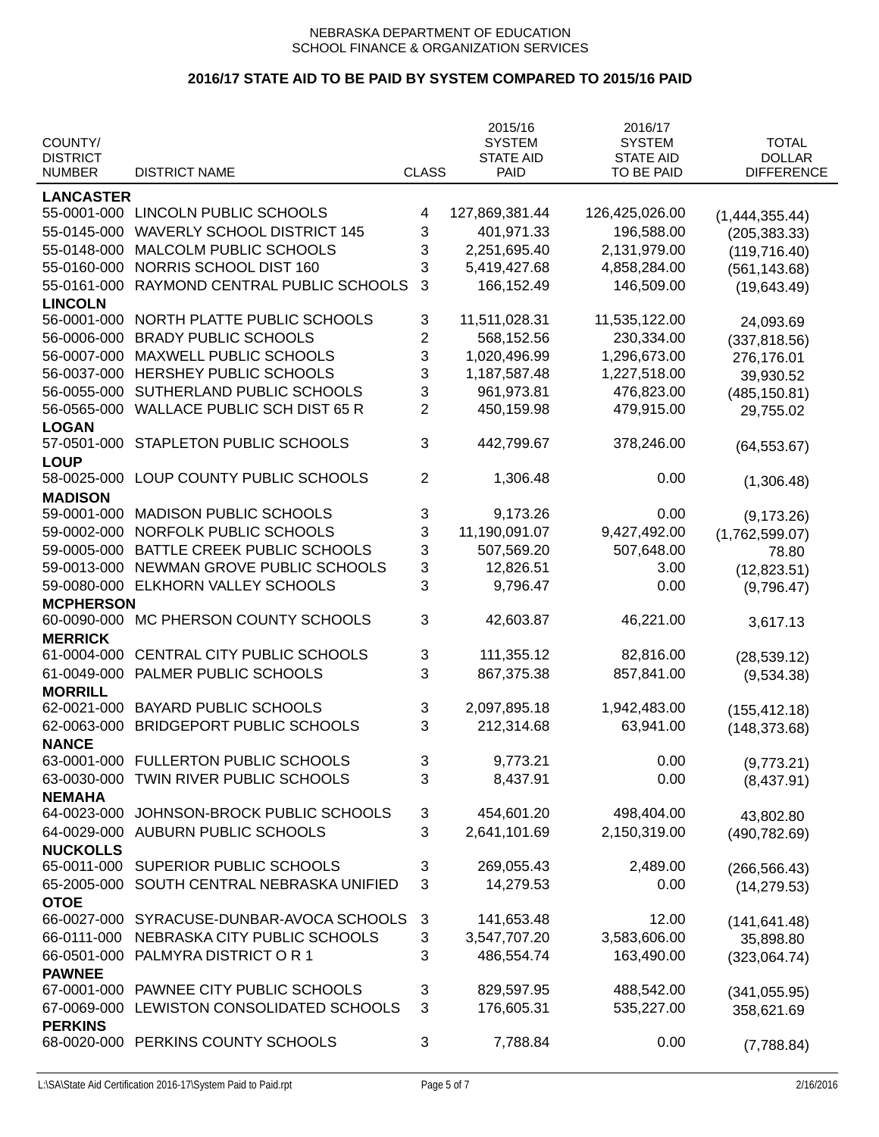|                            |                                     |              | 2015/16          | 2016/17          |                   |
|----------------------------|-------------------------------------|--------------|------------------|------------------|-------------------|
| COUNTY/                    |                                     |              | <b>SYSTEM</b>    | <b>SYSTEM</b>    | <b>TOTAL</b>      |
| <b>DISTRICT</b>            |                                     |              | <b>STATE AID</b> | <b>STATE AID</b> | <b>DOLLAR</b>     |
| <b>NUMBER</b>              | <b>DISTRICT NAME</b>                | <b>CLASS</b> | <b>PAID</b>      | TO BE PAID       | <b>DIFFERENCE</b> |
| <b>LANCASTER</b>           |                                     |              |                  |                  |                   |
| 55-0001-000                | LINCOLN PUBLIC SCHOOLS              | 4            | 127,869,381.44   | 126,425,026.00   | (1,444,355.44)    |
| 55-0145-000                | <b>WAVERLY SCHOOL DISTRICT 145</b>  | 3            | 401,971.33       | 196,588.00       | (205, 383.33)     |
| 55-0148-000                | MALCOLM PUBLIC SCHOOLS              | 3            | 2,251,695.40     | 2,131,979.00     | (119, 716.40)     |
| 55-0160-000                | NORRIS SCHOOL DIST 160              | 3            | 5,419,427.68     | 4,858,284.00     | (561, 143.68)     |
| 55-0161-000                | RAYMOND CENTRAL PUBLIC SCHOOLS      | 3            | 166,152.49       | 146,509.00       | (19,643.49)       |
| <b>LINCOLN</b>             |                                     |              |                  |                  |                   |
| 56-0001-000                | NORTH PLATTE PUBLIC SCHOOLS         | 3            | 11,511,028.31    | 11,535,122.00    | 24,093.69         |
| 56-0006-000                | <b>BRADY PUBLIC SCHOOLS</b>         | 2            | 568,152.56       | 230,334.00       | (337, 818.56)     |
| 56-0007-000                | MAXWELL PUBLIC SCHOOLS              | 3            | 1,020,496.99     | 1,296,673.00     | 276,176.01        |
| 56-0037-000                | HERSHEY PUBLIC SCHOOLS              | 3            | 1,187,587.48     | 1,227,518.00     | 39,930.52         |
| 56-0055-000                | SUTHERLAND PUBLIC SCHOOLS           | 3            | 961,973.81       | 476,823.00       | (485, 150.81)     |
| 56-0565-000                | <b>WALLACE PUBLIC SCH DIST 65 R</b> | 2            | 450,159.98       | 479,915.00       | 29,755.02         |
| <b>LOGAN</b>               |                                     |              |                  |                  |                   |
| 57-0501-000                | <b>STAPLETON PUBLIC SCHOOLS</b>     | 3            | 442,799.67       | 378,246.00       | (64, 553.67)      |
| <b>LOUP</b>                |                                     |              |                  |                  |                   |
| 58-0025-000                | LOUP COUNTY PUBLIC SCHOOLS          | 2            | 1,306.48         | 0.00             | (1,306.48)        |
| <b>MADISON</b>             |                                     |              |                  |                  |                   |
| 59-0001-000                | <b>MADISON PUBLIC SCHOOLS</b>       | 3            | 9,173.26         | 0.00             | (9, 173.26)       |
| 59-0002-000                | NORFOLK PUBLIC SCHOOLS              | 3            | 11,190,091.07    | 9,427,492.00     | (1,762,599.07)    |
| 59-0005-000                | BATTLE CREEK PUBLIC SCHOOLS         | 3            | 507,569.20       | 507,648.00       | 78.80             |
| 59-0013-000                | NEWMAN GROVE PUBLIC SCHOOLS         | 3            | 12,826.51        | 3.00             |                   |
| 59-0080-000                | ELKHORN VALLEY SCHOOLS              | 3            | 9,796.47         | 0.00             | (12,823.51)       |
| <b>MCPHERSON</b>           |                                     |              |                  |                  | (9,796.47)        |
| 60-0090-000                | MC PHERSON COUNTY SCHOOLS           | 3            | 42,603.87        | 46,221.00        |                   |
| <b>MERRICK</b>             |                                     |              |                  |                  | 3,617.13          |
| 61-0004-000                | CENTRAL CITY PUBLIC SCHOOLS         | 3            | 111,355.12       | 82,816.00        |                   |
| 61-0049-000                | PALMER PUBLIC SCHOOLS               | 3            | 867,375.38       | 857,841.00       | (28, 539.12)      |
| <b>MORRILL</b>             |                                     |              |                  |                  | (9,534.38)        |
| 62-0021-000                | <b>BAYARD PUBLIC SCHOOLS</b>        | 3            | 2,097,895.18     | 1,942,483.00     |                   |
| 62-0063-000                | <b>BRIDGEPORT PUBLIC SCHOOLS</b>    | 3            | 212,314.68       | 63,941.00        | (155, 412.18)     |
| <b>NANCE</b>               |                                     |              |                  |                  | (148, 373.68)     |
| 63-0001-000                | FULLERTON PUBLIC SCHOOLS            | 3            | 9,773.21         | 0.00             |                   |
| 63-0030-000                | TWIN RIVER PUBLIC SCHOOLS           | 3            | 8,437.91         | 0.00             | (9,773.21)        |
| <b>NEMAHA</b>              |                                     |              |                  |                  | (8,437.91)        |
| 64-0023-000                | JOHNSON-BROCK PUBLIC SCHOOLS        | 3            | 454,601.20       | 498,404.00       |                   |
| 64-0029-000                | <b>AUBURN PUBLIC SCHOOLS</b>        | 3            | 2,641,101.69     | 2,150,319.00     | 43,802.80         |
| <b>NUCKOLLS</b>            |                                     |              |                  |                  | (490, 782.69)     |
| 65-0011-000                | SUPERIOR PUBLIC SCHOOLS             | 3            | 269,055.43       | 2,489.00         |                   |
|                            |                                     |              |                  |                  | (266, 566.43)     |
| 65-2005-000                | SOUTH CENTRAL NEBRASKA UNIFIED      | 3            | 14,279.53        | 0.00             | (14, 279.53)      |
| <b>OTOE</b><br>66-0027-000 | SYRACUSE-DUNBAR-AVOCA SCHOOLS       | 3            | 141,653.48       | 12.00            |                   |
|                            |                                     |              |                  |                  | (141, 641.48)     |
| 66-0111-000                | NEBRASKA CITY PUBLIC SCHOOLS        | 3            | 3,547,707.20     | 3,583,606.00     | 35,898.80         |
| 66-0501-000                | PALMYRA DISTRICT OR 1               | 3            | 486,554.74       | 163,490.00       | (323,064.74)      |
| <b>PAWNEE</b>              |                                     |              |                  |                  |                   |
| 67-0001-000                | PAWNEE CITY PUBLIC SCHOOLS          | 3            | 829,597.95       | 488,542.00       | (341, 055.95)     |
| 67-0069-000                | LEWISTON CONSOLIDATED SCHOOLS       | 3            | 176,605.31       | 535,227.00       | 358,621.69        |
| <b>PERKINS</b>             |                                     |              |                  |                  |                   |
| 68-0020-000                | PERKINS COUNTY SCHOOLS              | 3            | 7,788.84         | 0.00             | (7,788.84)        |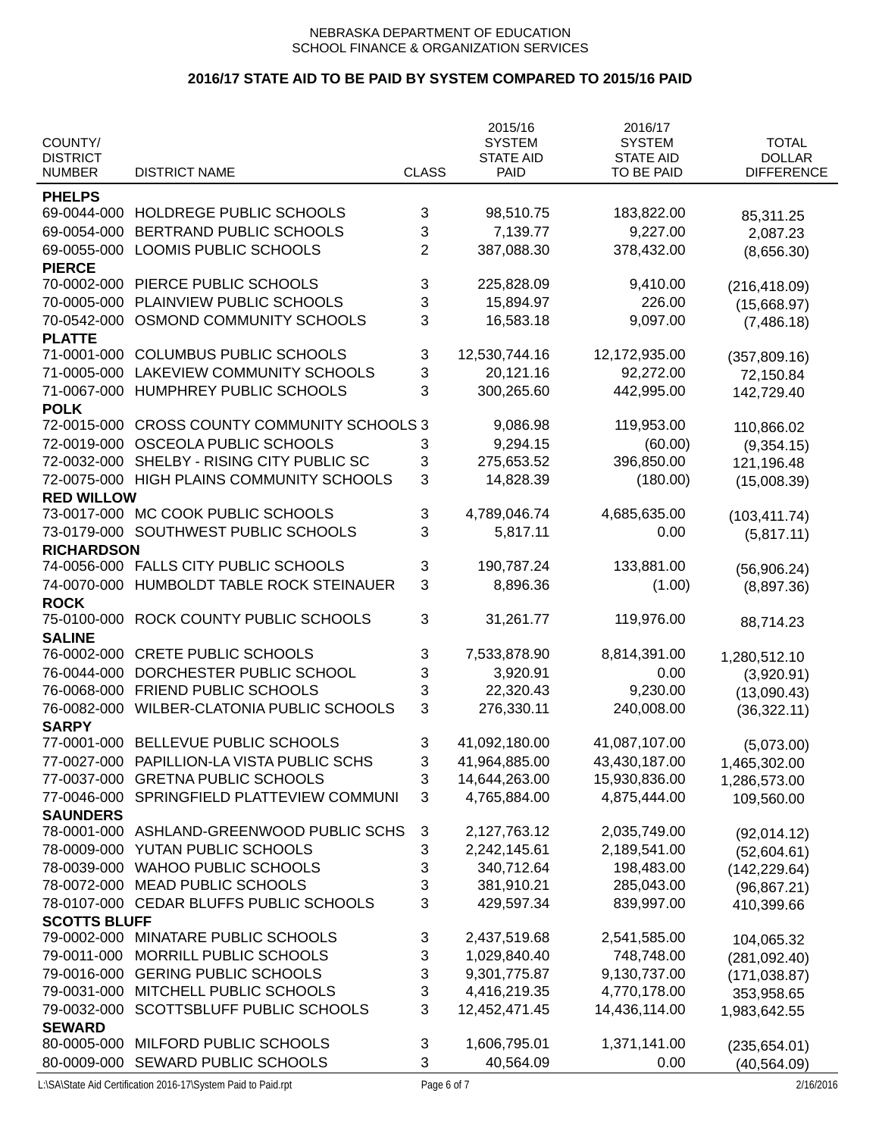# **2016/17 STATE AID TO BE PAID BY SYSTEM COMPARED TO 2015/16 PAID**

|                                  |                                         |                | 2015/16                         | 2016/17                        |                                    |
|----------------------------------|-----------------------------------------|----------------|---------------------------------|--------------------------------|------------------------------------|
| COUNTY/                          |                                         |                | <b>SYSTEM</b>                   | <b>SYSTEM</b>                  | <b>TOTAL</b>                       |
| <b>DISTRICT</b><br><b>NUMBER</b> | <b>DISTRICT NAME</b>                    | <b>CLASS</b>   | <b>STATE AID</b><br><b>PAID</b> | <b>STATE AID</b><br>TO BE PAID | <b>DOLLAR</b><br><b>DIFFERENCE</b> |
|                                  |                                         |                |                                 |                                |                                    |
| <b>PHELPS</b>                    |                                         |                |                                 |                                |                                    |
| 69-0044-000                      | HOLDREGE PUBLIC SCHOOLS                 | 3              | 98,510.75                       | 183,822.00                     | 85,311.25                          |
| 69-0054-000                      | BERTRAND PUBLIC SCHOOLS                 | 3              | 7,139.77                        | 9,227.00                       | 2,087.23                           |
| 69-0055-000                      | LOOMIS PUBLIC SCHOOLS                   | $\overline{2}$ | 387,088.30                      | 378,432.00                     | (8,656.30)                         |
| <b>PIERCE</b>                    |                                         |                |                                 |                                |                                    |
| 70-0002-000                      | PIERCE PUBLIC SCHOOLS                   | 3              | 225,828.09                      | 9,410.00                       | (216, 418.09)                      |
| 70-0005-000                      | PLAINVIEW PUBLIC SCHOOLS                | 3              | 15,894.97                       | 226.00                         | (15,668.97)                        |
| 70-0542-000                      | OSMOND COMMUNITY SCHOOLS                | 3              | 16,583.18                       | 9,097.00                       | (7,486.18)                         |
| <b>PLATTE</b>                    |                                         |                |                                 |                                |                                    |
| 71-0001-000                      | <b>COLUMBUS PUBLIC SCHOOLS</b>          | 3              | 12,530,744.16                   | 12,172,935.00                  | (357, 809.16)                      |
| 71-0005-000                      | LAKEVIEW COMMUNITY SCHOOLS              | 3              | 20,121.16                       | 92,272.00                      | 72,150.84                          |
| 71-0067-000                      | HUMPHREY PUBLIC SCHOOLS                 | 3              | 300,265.60                      | 442,995.00                     | 142,729.40                         |
| <b>POLK</b>                      |                                         |                |                                 |                                |                                    |
| 72-0015-000                      | <b>CROSS COUNTY COMMUNITY SCHOOLS 3</b> |                | 9,086.98                        | 119,953.00                     | 110,866.02                         |
| 72-0019-000                      | OSCEOLA PUBLIC SCHOOLS                  | 3              | 9,294.15                        | (60.00)                        | (9,354.15)                         |
| 72-0032-000                      | SHELBY - RISING CITY PUBLIC SC          | 3              | 275,653.52                      | 396,850.00                     | 121,196.48                         |
| 72-0075-000                      | HIGH PLAINS COMMUNITY SCHOOLS           | 3              | 14,828.39                       | (180.00)                       | (15,008.39)                        |
| <b>RED WILLOW</b>                |                                         |                |                                 |                                |                                    |
| 73-0017-000                      | MC COOK PUBLIC SCHOOLS                  | 3              | 4,789,046.74                    | 4,685,635.00                   | (103, 411.74)                      |
| 73-0179-000                      | SOUTHWEST PUBLIC SCHOOLS                | 3              | 5,817.11                        | 0.00                           | (5,817.11)                         |
| <b>RICHARDSON</b>                |                                         |                |                                 |                                |                                    |
| 74-0056-000                      | <b>FALLS CITY PUBLIC SCHOOLS</b>        | 3              | 190,787.24                      | 133,881.00                     | (56,906.24)                        |
| 74-0070-000                      | HUMBOLDT TABLE ROCK STEINAUER           | 3              | 8,896.36                        | (1.00)                         | (8,897.36)                         |
| <b>ROCK</b>                      |                                         |                |                                 |                                |                                    |
| 75-0100-000                      | ROCK COUNTY PUBLIC SCHOOLS              | 3              | 31,261.77                       | 119,976.00                     | 88,714.23                          |
| <b>SALINE</b>                    |                                         |                |                                 |                                |                                    |
| 76-0002-000                      | <b>CRETE PUBLIC SCHOOLS</b>             | 3              | 7,533,878.90                    | 8,814,391.00                   | 1,280,512.10                       |
| 76-0044-000                      | DORCHESTER PUBLIC SCHOOL                | 3              | 3,920.91                        | 0.00                           | (3,920.91)                         |
| 76-0068-000                      | <b>FRIEND PUBLIC SCHOOLS</b>            | 3              | 22,320.43                       | 9,230.00                       | (13,090.43)                        |
| 76-0082-000                      | WILBER-CLATONIA PUBLIC SCHOOLS          | 3              | 276,330.11                      | 240,008.00                     | (36, 322.11)                       |
| <b>SARPY</b>                     |                                         |                |                                 |                                |                                    |
| 77-0001-000                      | BELLEVUE PUBLIC SCHOOLS                 | 3              | 41,092,180.00                   | 41,087,107.00                  | (5,073.00)                         |
| 77-0027-000                      | PAPILLION-LA VISTA PUBLIC SCHS          | 3              | 41,964,885.00                   | 43,430,187.00                  | 1,465,302.00                       |
| 77-0037-000                      | <b>GRETNA PUBLIC SCHOOLS</b>            | 3              | 14,644,263.00                   | 15,930,836.00                  | 1,286,573.00                       |
| 77-0046-000                      | SPRINGFIELD PLATTEVIEW COMMUNI          | 3              | 4,765,884.00                    | 4,875,444.00                   | 109,560.00                         |
| <b>SAUNDERS</b>                  |                                         |                |                                 |                                |                                    |
| 78-0001-000                      | ASHLAND-GREENWOOD PUBLIC SCHS           | 3              | 2,127,763.12                    | 2,035,749.00                   | (92,014.12)                        |
| 78-0009-000                      | YUTAN PUBLIC SCHOOLS                    | 3              | 2,242,145.61                    | 2,189,541.00                   | (52,604.61)                        |
| 78-0039-000                      | <b>WAHOO PUBLIC SCHOOLS</b>             | 3              | 340,712.64                      | 198,483.00                     | (142, 229.64)                      |
| 78-0072-000                      | <b>MEAD PUBLIC SCHOOLS</b>              | 3              | 381,910.21                      | 285,043.00                     | (96, 867.21)                       |
| 78-0107-000                      | CEDAR BLUFFS PUBLIC SCHOOLS             | 3              | 429,597.34                      | 839,997.00                     | 410,399.66                         |
| <b>SCOTTS BLUFF</b>              |                                         |                |                                 |                                |                                    |
| 79-0002-000                      | MINATARE PUBLIC SCHOOLS                 | 3              | 2,437,519.68                    | 2,541,585.00                   | 104,065.32                         |
| 79-0011-000                      | MORRILL PUBLIC SCHOOLS                  | 3              | 1,029,840.40                    | 748,748.00                     | (281, 092.40)                      |
| 79-0016-000                      | <b>GERING PUBLIC SCHOOLS</b>            | 3              | 9,301,775.87                    | 9,130,737.00                   | (171, 038.87)                      |
| 79-0031-000                      | MITCHELL PUBLIC SCHOOLS                 | 3              | 4,416,219.35                    | 4,770,178.00                   | 353,958.65                         |
| 79-0032-000                      | SCOTTSBLUFF PUBLIC SCHOOLS              | 3              | 12,452,471.45                   | 14,436,114.00                  | 1,983,642.55                       |
| <b>SEWARD</b>                    |                                         |                |                                 |                                |                                    |
| 80-0005-000                      | MILFORD PUBLIC SCHOOLS                  | 3              | 1,606,795.01                    | 1,371,141.00                   | (235, 654.01)                      |
| 80-0009-000                      | SEWARD PUBLIC SCHOOLS                   | 3              | 40,564.09                       | 0.00                           | (40, 564.09)                       |

L:\SA\State Aid Certification 2016-17\System Paid to Paid.rpt Page 6 of 7 2/16/2016